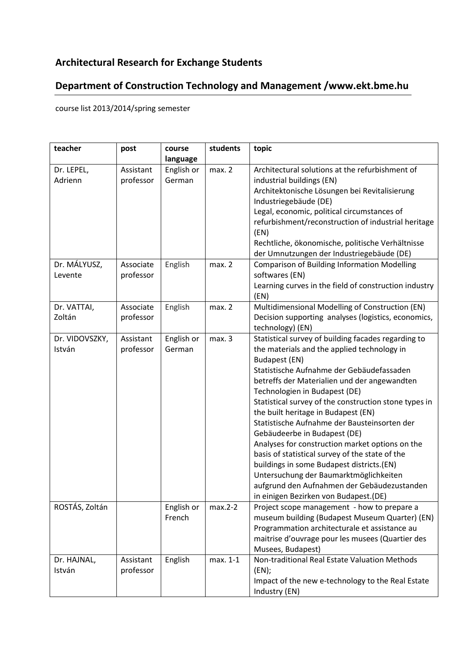## **Architectural Research for Exchange Students**

## **Department of Construction Technology and Management /www.ekt.bme.hu**

course list 2013/2014/spring semester

| teacher        | post      | course     | students | topic                                                 |
|----------------|-----------|------------|----------|-------------------------------------------------------|
|                |           | language   |          |                                                       |
| Dr. LEPEL,     | Assistant | English or | max. 2   | Architectural solutions at the refurbishment of       |
| Adrienn        | professor | German     |          | industrial buildings (EN)                             |
|                |           |            |          | Architektonische Lösungen bei Revitalisierung         |
|                |           |            |          | Industriegebäude (DE)                                 |
|                |           |            |          | Legal, economic, political circumstances of           |
|                |           |            |          | refurbishment/reconstruction of industrial heritage   |
|                |           |            |          | (EN)                                                  |
|                |           |            |          | Rechtliche, ökonomische, politische Verhältnisse      |
|                |           |            |          | der Umnutzungen der Industriegebäude (DE)             |
| Dr. MÁLYUSZ,   | Associate | English    | max. 2   | <b>Comparison of Building Information Modelling</b>   |
| Levente        | professor |            |          | softwares (EN)                                        |
|                |           |            |          | Learning curves in the field of construction industry |
|                |           |            |          | (EN)                                                  |
| Dr. VATTAI,    | Associate | English    | max. 2   | Multidimensional Modelling of Construction (EN)       |
| Zoltán         | professor |            |          | Decision supporting analyses (logistics, economics,   |
|                |           |            |          | technology) (EN)                                      |
| Dr. VIDOVSZKY, | Assistant | English or | max.3    | Statistical survey of building facades regarding to   |
| István         | professor | German     |          | the materials and the applied technology in           |
|                |           |            |          | Budapest (EN)                                         |
|                |           |            |          | Statistische Aufnahme der Gebäudefassaden             |
|                |           |            |          | betreffs der Materialien und der angewandten          |
|                |           |            |          | Technologien in Budapest (DE)                         |
|                |           |            |          | Statistical survey of the construction stone types in |
|                |           |            |          | the built heritage in Budapest (EN)                   |
|                |           |            |          | Statistische Aufnahme der Bausteinsorten der          |
|                |           |            |          | Gebäudeerbe in Budapest (DE)                          |
|                |           |            |          | Analyses for construction market options on the       |
|                |           |            |          | basis of statistical survey of the state of the       |
|                |           |            |          | buildings in some Budapest districts.(EN)             |
|                |           |            |          | Untersuchung der Baumarktmöglichkeiten                |
|                |           |            |          | aufgrund den Aufnahmen der Gebäudezustanden           |
|                |           |            |          | in einigen Bezirken von Budapest.(DE)                 |
| ROSTÁS, Zoltán |           | English or | max.2-2  | Project scope management - how to prepare a           |
|                |           | French     |          | museum building (Budapest Museum Quarter) (EN)        |
|                |           |            |          | Programmation architecturale et assistance au         |
|                |           |            |          | maitrise d'ouvrage pour les musees (Quartier des      |
|                |           |            |          | Musees, Budapest)                                     |
| Dr. HAJNAL,    | Assistant | English    | max. 1-1 | Non-traditional Real Estate Valuation Methods         |
| István         | professor |            |          | (EN);                                                 |
|                |           |            |          | Impact of the new e-technology to the Real Estate     |
|                |           |            |          | Industry (EN)                                         |